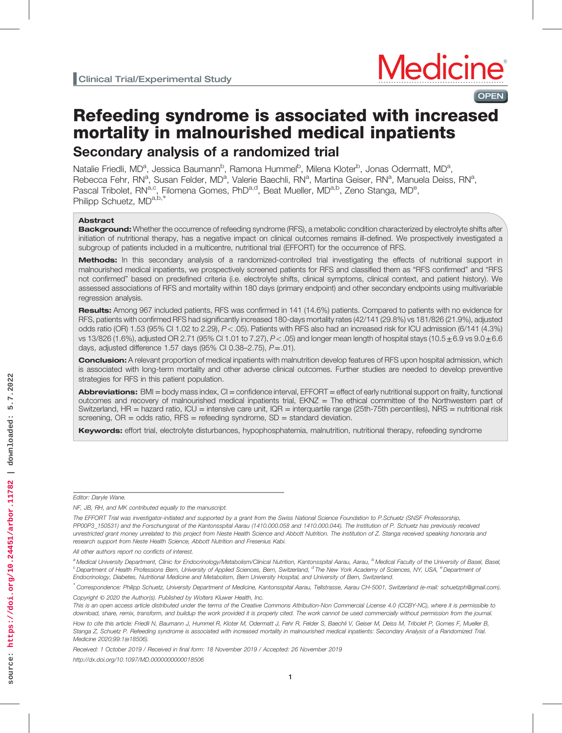**OPEN** 

# Refeeding syndrome is associated with increased mortality in malnourished medical inpatients Secondary analysis of a randomized trial

Natalie Friedli, MD<sup>a</sup>, Jessica Baumann<sup>b</sup>, Ramona Hummel<sup>b</sup>, Milena Kloter<sup>b</sup>, Jonas Odermatt, MD<sup>a</sup>, Rebecca Fehr, RN<sup>a</sup>, Susan Felder, MD<sup>a</sup>, Valerie Baechli, RN<sup>a</sup>, Martina Geiser, RN<sup>a</sup>, Manuela Deiss, RN<sup>a</sup>, Pascal Tribolet, RN<sup>a,c</sup>, Filomena Gomes, PhD<sup>a,d</sup>, Beat Mueller, MD<sup>a,b</sup>, Zeno Stanga, MD<sup>e</sup>, Philipp Schuetz, MD<sup>a,b,\*</sup>

## Abstract

Background: Whether the occurrence of refeeding syndrome (RFS), a metabolic condition characterized by electrolyte shifts after initiation of nutritional therapy, has a negative impact on clinical outcomes remains ill-defined. We prospectively investigated a subgroup of patients included in a multicentre, nutritional trial (EFFORT) for the occurrence of RFS.

Methods: In this secondary analysis of a randomized-controlled trial investigating the effects of nutritional support in malnourished medical inpatients, we prospectively screened patients for RFS and classified them as "RFS confirmed" and "RFS not confirmed" based on predefined criteria (i.e. electrolyte shifts, clinical symptoms, clinical context, and patient history). We assessed associations of RFS and mortality within 180 days (primary endpoint) and other secondary endpoints using multivariable regression analysis.

Results: Among 967 included patients, RFS was confirmed in 141 (14.6%) patients. Compared to patients with no evidence for RFS, patients with confirmed RFS had significantly increased 180-days mortality rates (42/141 (29.8%) vs 181/826 (21.9%), adjusted odds ratio (OR) 1.53 (95% CI 1.02 to 2.29),  $P < .05$ ). Patients with RFS also had an increased risk for ICU admission (6/141 (4.3%) vs 13/826 (1.6%), adjusted OR 2.71 (95% CI 1.01 to 7.27),  $P < .05$ ) and longer mean length of hospital stays (10.5 $\pm$ 6.9 vs 9.0 $\pm$ 6.6 days, adjusted difference 1.57 days (95% CI 0.38-2.75),  $P = .01$ ).

Conclusion: A relevant proportion of medical inpatients with malnutrition develop features of RFS upon hospital admission, which is associated with long-term mortality and other adverse clinical outcomes. Further studies are needed to develop preventive strategies for RFS in this patient population.

Abbreviations: BMI = body mass index, CI = confidence interval, EFFORT = effect of early nutritional support on frailty, functional outcomes and recovery of malnourished medical inpatients trial, EKNZ = The ethical committee of the Northwestern part of Switzerland,  $HR =$  hazard ratio,  $ICU =$  intensive care unit,  $IQR =$  interquartile range (25th-75th percentiles), NRS = nutritional risk screening,  $OR = odds$  ratio,  $RFS = reflecting$  syndrome,  $SD = standard$  deviation.

Keywords: effort trial, electrolyte disturbances, hypophosphatemia, malnutrition, nutritional therapy, refeeding syndrome

Editor: Daryle Wane.

Received: 1 October 2019 / Received in final form: 18 November 2019 / Accepted: 26 November 2019 <http://dx.doi.org/10.1097/MD.0000000000018506>

 $\overline{1}$ 

NF, JB, RH, and MK contributed equally to the manuscript.

The EFFORT Trial was investigator-initiated and supported by a grant from the Swiss National Science Foundation to P.Schuetz (SNSF Professorship, PP00P3\_150531) and the Forschungsrat of the Kantonsspital Aarau (1410.000.058 and 1410.000.044). The Institution of P. Schuetz has previously received unrestricted grant money unrelated to this project from Neste Health Science and Abbott Nutrition. The institution of Z. Stanga received speaking honoraria and research support from Neste Health Science, Abbott Nutrition and Fresenius Kabi.

All other authors report no conflicts of interest.

<sup>&</sup>lt;sup>a</sup> Medical University Department, Clinic for Endocrinology/Metabolism/Clinical Nutrition, Kantonsspital Aarau, Aarau, <sup>b</sup> Medical Faculty of the University of Basel, Basel, <sup>c</sup> Department of Health Professions Bern, University of Applied Sciences, Bern, Switzerland, <sup>d</sup> The New York Academy of Sciences, NY, USA, <sup>e</sup> Department of Endocrinology, Diabetes, Nutritional Medicine and Metabolism, Bern University Hospital, and University of Bern, Switzerland.

<sup>∗</sup> Correspondence: Philipp Schuetz, University Department of Medicine, Kantonsspital Aarau, Tellstrasse, Aarau CH-5001, Switzerland (e-mail: [schuetzph@gmail.com\)](mailto:schuetzph@gmail.com). Copyright © 2020 the Author(s). Published by Wolters Kluwer Health, Inc.

This is an open access article distributed under the terms of the [Creative Commons Attribution-Non Commercial License 4.0](http://creativecommons.org/licenses/by-nc/4.0) (CCBY-NC), where it is permissible to download, share, remix, transform, and buildup the work provided it is properly cited. The work cannot be used commercially without permission from the journal.

How to cite this article: Friedli N, Baumann J, Hummel R, Kloter M, Odermatt J, Fehr R, Felder S, Baechli V, Geiser M, Deiss M, Tribolet P, Gomes F, Mueller B, Stanga Z, Schuetz P. Refeeding syndrome is associated with increased mortality in malnourished medical inpatients: Secondary Analysis of a Randomized Trial. Medicine 2020;99:1(e18506).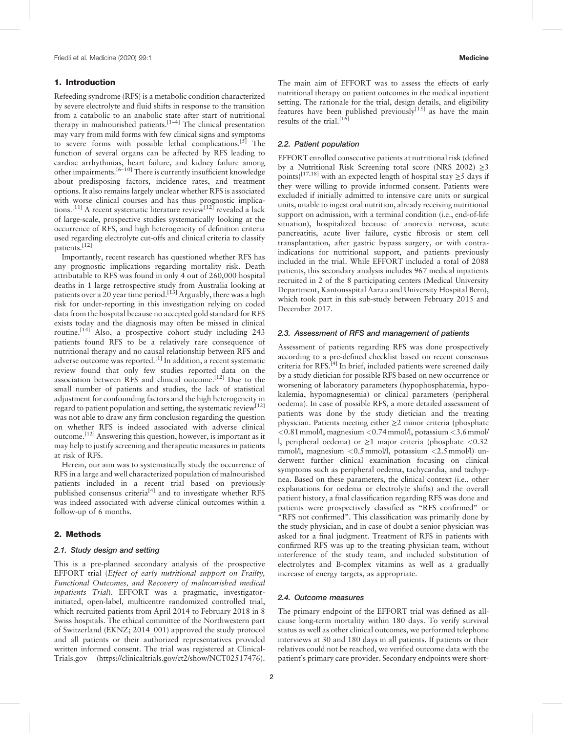# 1. Introduction

Refeeding syndrome (RFS) is a metabolic condition characterized by severe electrolyte and fluid shifts in response to the transition from a catabolic to an anabolic state after start of nutritional therapy in malnourished patients.[1–4] The clinical presentation may vary from mild forms with few clinical signs and symptoms to severe forms with possible lethal complications.<sup>[5]</sup> The function of several organs can be affected by RFS leading to cardiac arrhythmias, heart failure, and kidney failure among other impairments.<sup>[6–10]</sup> There is currently insufficient knowledge about predisposing factors, incidence rates, and treatment options. It also remains largely unclear whether RFS is associated with worse clinical courses and has thus prognostic implications.<sup>[11]</sup> A recent systematic literature review<sup>[12]</sup> revealed a lack of large-scale, prospective studies systematically looking at the occurrence of RFS, and high heterogeneity of definition criteria used regarding electrolyte cut-offs and clinical criteria to classify patients.<sup>[12]</sup>

Importantly, recent research has questioned whether RFS has any prognostic implications regarding mortality risk. Death attributable to RFS was found in only 4 out of 260,000 hospital deaths in 1 large retrospective study from Australia looking at patients over a 20 year time period.<sup>[13]</sup> Arguably, there was a high risk for under-reporting in this investigation relying on coded data from the hospital because no accepted gold standard for RFS exists today and the diagnosis may often be missed in clinical routine.<sup>[14]</sup> Also, a prospective cohort study including 243 patients found RFS to be a relatively rare consequence of nutritional therapy and no causal relationship between RFS and adverse outcome was reported.<sup>[1]</sup> In addition, a recent systematic review found that only few studies reported data on the association between RFS and clinical outcome.[12] Due to the small number of patients and studies, the lack of statistical adjustment for confounding factors and the high heterogeneity in regard to patient population and setting, the systematic review<sup>[12]</sup> was not able to draw any firm conclusion regarding the question on whether RFS is indeed associated with adverse clinical outcome.[12] Answering this question, however, is important as it may help to justify screening and therapeutic measures in patients at risk of RFS.

Herein, our aim was to systematically study the occurrence of RFS in a large and well characterized population of malnourished patients included in a recent trial based on previously published consensus criteria<sup>[4]</sup> and to investigate whether RFS was indeed associated with adverse clinical outcomes within a follow-up of 6 months.

# 2. Methods

# 2.1. Study design and setting

This is a pre-planned secondary analysis of the prospective EFFORT trial (Effect of early nutritional support on Frailty, Functional Outcomes, and Recovery of malnourished medical inpatients Trial). EFFORT was a pragmatic, investigatorinitiated, open-label, multicentre randomized controlled trial, which recruited patients from April 2014 to February 2018 in 8 Swiss hospitals. The ethical committee of the Northwestern part of Switzerland (EKNZ; 2014\_001) approved the study protocol and all patients or their authorized representatives provided written informed consent. The trial was registered at Clinical-Trials.gov [\(https://clinicaltrials.gov/ct2/show/NCT02517476\)](https://clinicaltrials.gov/ct2/show/NCT02517476). The main aim of EFFORT was to assess the effects of early nutritional therapy on patient outcomes in the medical inpatient setting. The rationale for the trial, design details, and eligibility features have been published previously $[15]$  as have the main results of the trial.<sup>[16]</sup>

# 2.2. Patient population

EFFORT enrolled consecutive patients at nutritional risk (defined by a Nutritional Risk Screening total score (NRS 2002) ≥3 points)<sup>[17,18]</sup> with an expected length of hospital stay  $\geq$ 5 days if they were willing to provide informed consent. Patients were excluded if initially admitted to intensive care units or surgical units, unable to ingest oral nutrition, already receiving nutritional support on admission, with a terminal condition (i.e., end-of-life situation), hospitalized because of anorexia nervosa, acute pancreatitis, acute liver failure, cystic fibrosis or stem cell transplantation, after gastric bypass surgery, or with contraindications for nutritional support, and patients previously included in the trial. While EFFORT included a total of 2088 patients, this secondary analysis includes 967 medical inpatients recruited in 2 of the 8 participating centers (Medical University Department, Kantonsspital Aarau and University Hospital Bern), which took part in this sub-study between February 2015 and December 2017.

#### 2.3. Assessment of RFS and management of patients

Assessment of patients regarding RFS was done prospectively according to a pre-defined checklist based on recent consensus criteria for RFS.<sup>[4]</sup> In brief, included patients were screened daily by a study dietician for possible RFS based on new occurrence or worsening of laboratory parameters (hypophosphatemia, hypokalemia, hypomagnesemia) or clinical parameters (peripheral oedema). In case of possible RFS, a more detailed assessment of patients was done by the study dietician and the treating physician. Patients meeting either ≥2 minor criteria (phosphate  $\langle 0.81 \text{mmol/l}$ , magnesium  $\langle 0.74 \text{mmol/l}$ , potassium  $\langle 3.6 \text{mmol/l} \rangle$ l, peripheral oedema) or  $\geq 1$  major criteria (phosphate <0.32 mmol/l, magnesium  $\langle 0.5 \text{mmol/l} \rangle$ , potassium  $\langle 2.5 \text{mmol/l} \rangle$  underwent further clinical examination focusing on clinical symptoms such as peripheral oedema, tachycardia, and tachypnea. Based on these parameters, the clinical context (i.e., other explanations for oedema or electrolyte shifts) and the overall patient history, a final classification regarding RFS was done and patients were prospectively classified as "RFS confirmed" or "RFS not confirmed". This classification was primarily done by the study physician, and in case of doubt a senior physician was asked for a final judgment. Treatment of RFS in patients with confirmed RFS was up to the treating physician team, without interference of the study team, and included substitution of electrolytes and B-complex vitamins as well as a gradually increase of energy targets, as appropriate.

#### 2.4. Outcome measures

The primary endpoint of the EFFORT trial was defined as allcause long-term mortality within 180 days. To verify survival status as well as other clinical outcomes, we performed telephone interviews at 30 and 180 days in all patients. If patients or their relatives could not be reached, we verified outcome data with the patient's primary care provider. Secondary endpoints were short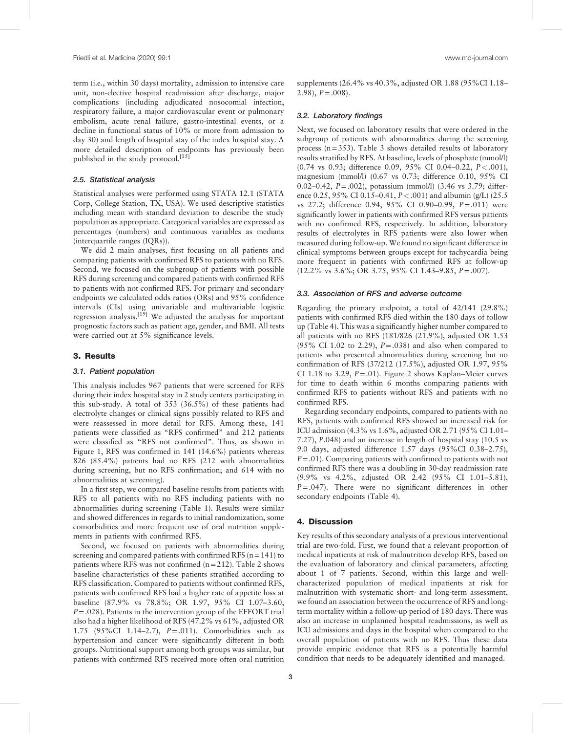term (i.e., within 30 days) mortality, admission to intensive care unit, non-elective hospital readmission after discharge, major complications (including adjudicated nosocomial infection, respiratory failure, a major cardiovascular event or pulmonary embolism, acute renal failure, gastro-intestinal events, or a decline in functional status of 10% or more from admission to day 30) and length of hospital stay of the index hospital stay. A more detailed description of endpoints has previously been published in the study protocol.<sup>[15]</sup>

#### 2.5. Statistical analysis

Statistical analyses were performed using STATA 12.1 (STATA Corp, College Station, TX, USA). We used descriptive statistics including mean with standard deviation to describe the study population as appropriate. Categorical variables are expressed as percentages (numbers) and continuous variables as medians (interquartile ranges (IQRs)).

We did 2 main analyses, first focusing on all patients and comparing patients with confirmed RFS to patients with no RFS. Second, we focused on the subgroup of patients with possible RFS during screening and compared patients with confirmed RFS to patients with not confirmed RFS. For primary and secondary endpoints we calculated odds ratios (ORs) and 95% confidence intervals (CIs) using univariable and multivariable logistic regression analysis.<sup>[19]</sup> We adjusted the analysis for important prognostic factors such as patient age, gender, and BMI. All tests were carried out at 5% significance levels.

## 3. Results

#### 3.1. Patient population

This analysis includes 967 patients that were screened for RFS during their index hospital stay in 2 study centers participating in this sub-study. A total of 353 (36.5%) of these patients had electrolyte changes or clinical signs possibly related to RFS and were reassessed in more detail for RFS. Among these, 141 patients were classified as "RFS confirmed" and 212 patients were classified as "RFS not confirmed". Thus, as shown in Figure 1, RFS was confirmed in 141 (14.6%) patients whereas 826 (85.4%) patients had no RFS (212 with abnormalities during screening, but no RFS confirmation; and 614 with no abnormalities at screening).

In a first step, we compared baseline results from patients with RFS to all patients with no RFS including patients with no abnormalities during screening (Table 1). Results were similar and showed differences in regards to initial randomization, some comorbidities and more frequent use of oral nutrition supplements in patients with confirmed RFS.

Second, we focused on patients with abnormalities during screening and compared patients with confirmed RFS  $(n=141)$  to patients where RFS was not confirmed (n=212). Table 2 shows baseline characteristics of these patients stratified according to RFS classification. Compared to patients without confirmed RFS, patients with confirmed RFS had a higher rate of appetite loss at baseline (87.9% vs 78.8%; OR 1.97, 95% CI 1.07–3.60,  $P = .028$ ). Patients in the intervention group of the EFFORT trial also had a higher likelihood of RFS (47.2% vs 61%, adjusted OR 1.75 (95%CI 1.14–2.7), P=.011). Comorbidities such as hypertension and cancer were significantly different in both groups. Nutritional support among both groups was similar, but patients with confirmed RFS received more often oral nutrition supplements (26.4% vs 40.3%, adjusted OR 1.88 (95%CI 1.18–  $2.98$ ,  $P = .008$ ).

# 3.2. Laboratory findings

Next, we focused on laboratory results that were ordered in the subgroup of patients with abnormalities during the screening process (n=353). Table 3 shows detailed results of laboratory results stratified by RFS. At baseline, levels of phosphate (mmol/l) (0.74 vs 0.93; difference 0.09, 95% CI 0.04–0.22, P<.001), magnesium (mmol/l) (0.67 vs 0.73; difference 0.10, 95% CI 0.02–0.42, P = .002), potassium (mmol/l) (3.46 vs 3.79; difference 0.25, 95% CI 0.15–0.41,  $P < .001$ ) and albumin (g/L) (25.5 vs 27.2; difference 0.94, 95% CI 0.90–0.99, P=.011) were significantly lower in patients with confirmed RFS versus patients with no confirmed RFS, respectively. In addition, laboratory results of electrolytes in RFS patients were also lower when measured during follow-up. We found no significant difference in clinical symptoms between groups except for tachycardia being more frequent in patients with confirmed RFS at follow-up (12.2% vs 3.6%; OR 3.75, 95% CI 1.43–9.85, P=.007).

#### 3.3. Association of RFS and adverse outcome

Regarding the primary endpoint, a total of 42/141 (29.8%) patients with confirmed RFS died within the 180 days of follow up (Table 4). This was a significantly higher number compared to all patients with no RFS (181/826 (21.9%), adjusted OR 1.53 (95% CI 1.02 to 2.29),  $P = .038$ ) and also when compared to patients who presented abnormalities during screening but no confirmation of RFS (37/212 (17.5%), adjusted OR 1.97, 95% CI 1.18 to 3.29,  $P = .01$ ). Figure 2 shows Kaplan–Meier curves for time to death within 6 months comparing patients with confirmed RFS to patients without RFS and patients with no confirmed RFS.

Regarding secondary endpoints, compared to patients with no RFS, patients with confirmed RFS showed an increased risk for ICU admission (4.3% vs 1.6%, adjusted OR 2.71 (95% CI 1.01– 7.27), P.048) and an increase in length of hospital stay (10.5 vs 9.0 days, adjusted difference 1.57 days (95%CI 0.38–2.75),  $P = .01$ ). Comparing patients with confirmed to patients with not confirmed RFS there was a doubling in 30-day readmission rate (9.9% vs 4.2%, adjusted OR 2.42 (95% CI 1.01–5.81),  $P = .047$ ). There were no significant differences in other secondary endpoints (Table 4).

# 4. Discussion

Key results of this secondary analysis of a previous interventional trial are two-fold. First, we found that a relevant proportion of medical inpatients at risk of malnutrition develop RFS, based on the evaluation of laboratory and clinical parameters, affecting about 1 of 7 patients. Second, within this large and wellcharacterized population of medical inpatients at risk for malnutrition with systematic short- and long-term assessment, we found an association between the occurrence of RFS and longterm mortality within a follow-up period of 180 days. There was also an increase in unplanned hospital readmissions, as well as ICU admissions and days in the hospital when compared to the overall population of patients with no RFS. Thus these data provide empiric evidence that RFS is a potentially harmful condition that needs to be adequately identified and managed.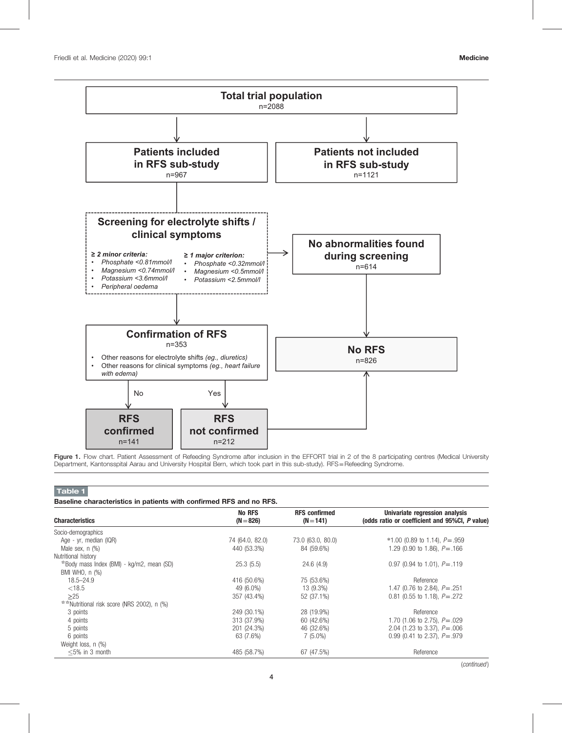

Figure 1. Flow chart. Patient Assessment of Refeeding Syndrome after inclusion in the EFFORT trial in 2 of the 8 participating centres (Medical University Department, Kantonsspital Aarau and University Hospital Bern, which took part in this sub-study). RFS=Refeeding Syndrome.

# Table 1

| Baseline characteristics in patients with confirmed RFS and no RFS. |  |  |  |  |  |  |
|---------------------------------------------------------------------|--|--|--|--|--|--|
|---------------------------------------------------------------------|--|--|--|--|--|--|

| <b>Characteristics</b>                       | <b>No RFS</b><br>$(N = 826)$ | <b>RFS</b> confirmed<br>$(N = 141)$ | Univariate regression analysis<br>(odds ratio or coefficient and 95%CI, P value) |
|----------------------------------------------|------------------------------|-------------------------------------|----------------------------------------------------------------------------------|
| Socio-demographics                           |                              |                                     |                                                                                  |
| Age - yr, median (IQR)                       | 74 (64.0, 82.0)              | 73.0 (63.0, 80.0)                   | $*1.00$ (0.89 to 1.14), $P = .959$                                               |
| Male sex, $n$ $(\%)$                         | 440 (53.3%)                  | 84 (59.6%)                          | 1.29 (0.90 to 1.86), $P = .166$                                                  |
| Nutritional history                          |                              |                                     |                                                                                  |
| $*$ Body mass Index (BMI) - kg/m2, mean (SD) | 25.3(5.5)                    | 24.6(4.9)                           | 0.97 (0.94 to 1.01), $P = .119$                                                  |
| BMI WHO, n (%)                               |                              |                                     |                                                                                  |
| $18.5 - 24.9$                                | 416 (50.6%)                  | 75 (53.6%)                          | Reference                                                                        |
| < 18.5                                       | 49 (6.0%)                    | 13 (9.3%)                           | 1.47 (0.76 to 2.84), $P = .251$                                                  |
| >25                                          | 357 (43.4%)                  | 52 (37.1%)                          | 0.81 (0.55 to 1.18), $P = .272$                                                  |
| **Nutritional risk score (NRS 2002), n (%)   |                              |                                     |                                                                                  |
| 3 points                                     | 249 (30.1%)                  | 28 (19.9%)                          | Reference                                                                        |
| 4 points                                     | 313 (37.9%)                  | 60 (42.6%)                          | 1.70 (1.06 to 2.75), $P = .029$                                                  |
| 5 points                                     | 201 (24.3%)                  | 46 (32.6%)                          | 2.04 (1.23 to 3.37), $P = .006$                                                  |
| 6 points                                     | 63 (7.6%)                    | $7(5.0\%)$                          | 0.99 (0.41 to 2.37), $P = .979$                                                  |
| Weight loss, n (%)                           |                              |                                     |                                                                                  |
| $<$ 5% in 3 month                            | 485 (58.7%)                  | 67 (47.5%)                          | Reference                                                                        |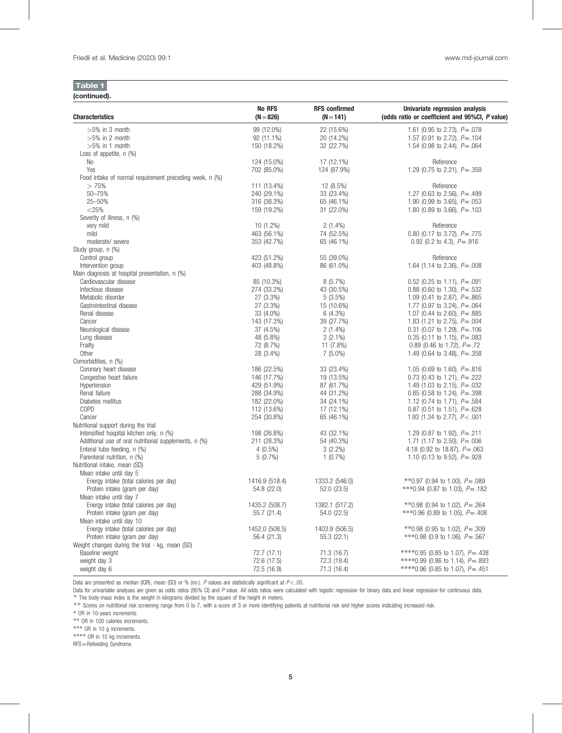| (continued). |  |
|--------------|--|

| <b>Characteristics</b>                                  | <b>No RFS</b><br>$(N = 826)$ | <b>RFS</b> confirmed<br>$(N = 141)$ | Univariate regression analysis<br>(odds ratio or coefficient and 95%CI, P value) |
|---------------------------------------------------------|------------------------------|-------------------------------------|----------------------------------------------------------------------------------|
| $>5\%$ in 3 month                                       | 99 (12.0%)                   | 22 (15.6%)                          | 1.61 (0.95 to 2.73), $P = .078$                                                  |
| $>5\%$ in 2 month                                       | 92 (11.1%)                   | 20 (14.2%)                          | 1.57 (0.91 to 2.72), $P = .104$                                                  |
| $>5\%$ in 1 month                                       | 150 (18.2%)                  | 32 (22.7%)                          | 1.54 (0.98 to 2.44), $P = .064$                                                  |
| Loss of appetite, $n$ $(\%)$                            |                              |                                     |                                                                                  |
| No                                                      | 124 (15.0%)                  | 17 (12.1%)                          | Reference                                                                        |
| Yes                                                     | 702 (85.0%)                  | 124 (87.9%)                         | 1.29 (0.75 to 2.21), $P = .359$                                                  |
| Food intake of normal requirement preceding week, n (%) |                              |                                     |                                                                                  |
| >75%                                                    | 111 (13.4%)                  | 12 (8.5%)                           | Reference                                                                        |
| 50-75%<br>25-50%                                        | 240 (29.1%)                  | 33 (23.4%)                          | 1.27 (0.63 to 2.56), $P = .499$                                                  |
| $<$ 25%                                                 | 316 (38.3%)<br>159 (19.2%)   | 65 (46.1%)<br>31 (22.0%)            | 1.90 (0.99 to 3.65), $P = .053$<br>1.80 (0.89 to 3.66), $P = .103$               |
| Severity of illness, n (%)                              |                              |                                     |                                                                                  |
| very mild                                               | 10 (1.2%)                    | $2(1.4\%)$                          | Reference                                                                        |
| mild                                                    | 463 (56.1%)                  | 74 (52.5%)                          | 0.80 (0.17 to 3.72), $P = .775$                                                  |
| moderate/severe                                         | 353 (42.7%)                  | 65 (46.1%)                          | 0.92 (0.2 to 4.3), $P = .916$                                                    |
| Study group, n (%)                                      |                              |                                     |                                                                                  |
| Control group                                           | 423 (51.2%)                  | 55 (39.0%)                          | Reference                                                                        |
| Intervention group                                      | 403 (48.8%)                  | 86 (61.0%)                          | 1.64 (1.14 to 2.36), $P = .008$                                                  |
| Main diagnosis at hospital presentation, n (%)          |                              |                                     |                                                                                  |
| Cardiovascular disease                                  | 85 (10.3%)                   | $8(5.7\%)$                          | 0.52 (0.25 to 1.11), $P = .091$                                                  |
| Infectious disease                                      | 274 (33.2%)                  | 43 (30.5%)                          | 0.88 (0.60 to 1.30), $P = .532$                                                  |
| Metabolic disorder                                      | 27 (3.3%)                    | $5(3.5\%)$                          | 1.09 (0.41 to 2.87), $P = .865$                                                  |
| Gastrointestinal disease                                | 27 (3.3%)                    | 15 (10.6%)                          | 1.77 (0.97 to 3.24), $P = .064$                                                  |
| Renal disease                                           | 33 (4.0%)                    | $6(4.3\%)$                          | 1.07 (0.44 to 2.60), $P = .885$                                                  |
| Cancer                                                  | 143 (17.3%)                  | 39 (27.7%)                          | 1.83 (1.21 to 2.75), $P = .004$                                                  |
| Neurological disease                                    | 37 (4.5%)                    | $2(1.4\%)$                          | 0.31 (0.07 to 1.29), $P = .106$                                                  |
| Lung disease                                            | 48 (5.8%)                    | $3(2.1\%)$                          | 0.35 (0.11 to 1.15), $P = .083$                                                  |
| Frailty                                                 | 72 (8.7%)                    | 11 $(7.8\%)$                        | 0.89 (0.46 to 1.72), $P = 72$                                                    |
| Other                                                   | 28 (3.4%)                    | $7(5.0\%)$                          | 1.49 (0.64 to 3.48), $P = .358$                                                  |
| Comorbidities, n (%)                                    |                              |                                     |                                                                                  |
| Coronary heart disease                                  | 186 (22.5%)                  | 33 (23.4%)                          | 1.05 (0.69 to 1.60), $P = .816$                                                  |
| Congestive heart failure                                | 146 (17.7%)                  | 19 (13.5%)                          | 0.73 (0.43 to 1.21), $P = .222$                                                  |
| Hypertension                                            | 429 (51.9%)                  | 87 (61.7%)                          | 1.49 (1.03 to 2.15), $P = .032$                                                  |
| Renal failure                                           | 288 (34.9%)                  | 44 (31.2%)                          | 0.85 (0.58 to 1.24), $P = .398$                                                  |
| Diabetes mellitus<br>COPD                               | 182 (22.0%)<br>112 (13.6%)   | 34 (24.1%)                          | 1.12 (0.74 to 1.71), $P = .584$<br>0.87 (0.51 to 1.51), $P = .628$               |
| Cancer                                                  | 254 (30.8%)                  | 17 (12.1%)<br>65 (46.1%)            | 1.93 (1.34 to 2.77), $P < .001$                                                  |
| Nutritional support during the trial                    |                              |                                     |                                                                                  |
| Intensified hospital kitchen only, n (%)                | 198 (26.8%)                  | 43 (32.1%)                          | 1.29 (0.87 to 1.92), $P = .211$                                                  |
| Additional use of oral nutritional supplements, n (%)   | 211 (28.3%)                  | 54 (40.3%)                          | 1.71 (1.17 to 2.50), $P = .006$                                                  |
| Enteral tube feeding, n (%)                             | $4(0.5\%)$                   | $3(2.2\%)$                          | 4.18 (0.92 to 18.87), $P = .063$                                                 |
| Parenteral nutrition, n (%)                             | $5(0.7\%)$                   | $1(0.7\%)$                          | 1.10 (0.13 to 9.52), $P = .928$                                                  |
| Nutritional intake, mean (SD)                           |                              |                                     |                                                                                  |
| Mean intake until day 5                                 |                              |                                     |                                                                                  |
| Energy intake (total calories per day)                  | 1416.9 (518.4)               | 1333.2 (546.0)                      | **0.97 (0.94 to 1.00), $P = .089$                                                |
| Protein intake (gram per day)                           | 54.8 (22.0)                  | 52.0 (23.5)                         | *** 0.94 (0.87 to 1.03), $P = .182$                                              |
| Mean intake until day 7                                 |                              |                                     |                                                                                  |
| Energy intake (total calories per day)                  | 1435.2 (508.7)               | 1382.1 (517.2)                      | **0.98 (0.94 to 1.02), $P = .264$                                                |
| Protein intake (gram per day)                           | 55.7(21.4)                   | 54.0 (22.5)                         | ***0.96 (0.89 to 1.05), $P = .408$                                               |
| Mean intake until day 10                                |                              |                                     |                                                                                  |
| Energy intake (total calories per day)                  | 1452.0 (508.5)               | 1403.9 (506.5)                      | **0.98 (0.95 to 1.02), $P = .309$                                                |
| Protein intake (gram per day)                           | 56.4 (21.3)                  | 55.3 (22.1)                         | ***0.98 (0.9 to 1.06), $P = .567$                                                |
| Weight changes during the trial - kg, mean (SD)         |                              |                                     |                                                                                  |
| Baseline weight                                         | 72.7 (17.1)                  | 71.3 (16.7)                         | ****0.95 (0.85 to 1.07), $P = .438$                                              |
| weight day 3                                            | 72.6 (17.5)                  | 72.3 (19.4)                         | ****0.99 (0.86 to 1.14), $P = .893$                                              |
| weight day 6                                            | 72.5 (16.9)                  | 71.3 (16.4)                         | **** 0.96 (0.85 to 1.07), P = .451                                               |

Data are presented as median (IQR), mean (SD) or % (no.). P values are statistically significant at  $P < .05$ .

Data for univariable analyses are given as odds ratios (95% CI) and P value. All odds ratios were calculated with logistic regression for binary data and linear regression for continuous data.  $\star$  The body-mass index is the weight in kilograms divided by the square of the height in meters.

\*\* Scores on nutritional risk screening range from 0 to 7, with a score of 3 or more identifying patients at nutritional risk and higher scores indicating increased risk.

∗ OR in 10-years increments

∗∗ OR in 100 calories increments.

∗∗∗ OR in 10 g increments.

∗∗∗∗ OR in 10 kg increments.

RFS=Refeeding Syndrome.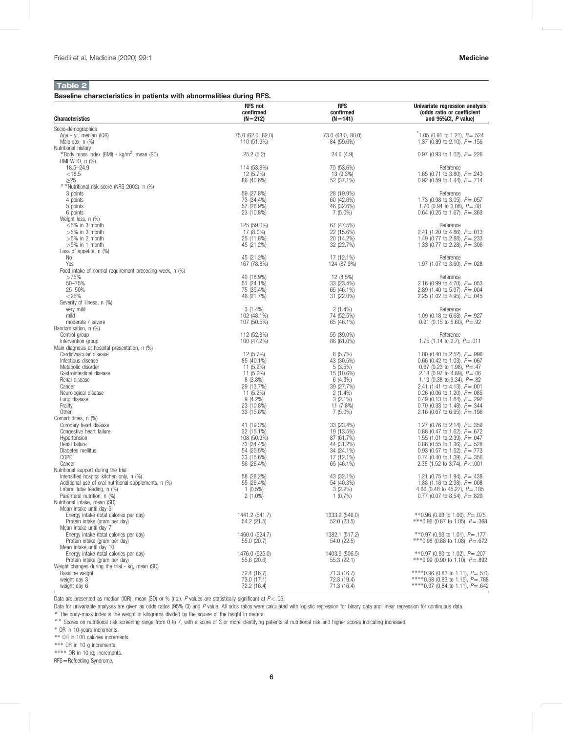# Table 2

Baseline characteristics in patients with abnormalities during RFS.

|                                                                                                   | <b>RFS not</b><br>confirmed      | <b>RFS</b><br>confirmed         | Univariate regression analysis<br>(odds ratio or coefficient               |
|---------------------------------------------------------------------------------------------------|----------------------------------|---------------------------------|----------------------------------------------------------------------------|
| <b>Characteristics</b>                                                                            | $(N = 212)$                      | $(N = 141)$                     | and 95%CI, P value)                                                        |
| Socio-demographics                                                                                |                                  |                                 |                                                                            |
| Age - yr, median (IQR)<br>Male sex, $n$ $(\%)$                                                    | 75.0 (62.0, 82.0)<br>110 (51.9%) | 73.0 (63.0, 80.0)<br>84 (59.6%) | $\degree$ 1.05 (0.91 to 1.21), P = .524<br>1.37 (0.89 to 2.10), $P = .156$ |
| Nutritional history                                                                               |                                  |                                 |                                                                            |
| *Body mass Index (BMI) - kg/m <sup>2</sup> , mean (SD)<br>BMI WHO, n (%)                          | 25.2(5.2)                        | 24.6(4.9)                       | 0.97 (0.93 to 1.02), $P = .226$                                            |
| $18.5 - 24.9$                                                                                     | 114 (53.8%)                      | 75 (53.6%)                      | Reference                                                                  |
| < 18.5                                                                                            | 12 (5.7%)                        | 13 (9.3%)                       | 1.65 (0.71 to 3.80), $P = .243$                                            |
| $\geq$ 25<br>**Nutritional risk score (NRS 2002), n (%)                                           | 86 (40.6%)                       | 52 (37.1%)                      | 0.92 (0.59 to 1.44), $P = .714$                                            |
| 3 points                                                                                          | 59 (27.8%)                       | 28 (19.9%)                      | Reference                                                                  |
| 4 points<br>5 points                                                                              | 73 (34.4%)<br>57 (26.9%)         | 60 (42.6%)<br>46 (32.6%)        | 1.73 (0.98 to 3.05), $P = .057$<br>1.70 (0.94 to 3.08), $P = .08$          |
| 6 points                                                                                          | 23 (10.8%)                       | 7 (5.0%)                        | 0.64 (0.25 to 1.67), $P = .363$                                            |
| Weight loss, n (%)                                                                                |                                  |                                 |                                                                            |
| $\leq$ 5% in 3 month<br>$>5\%$ in 3 month                                                         | 125 (59.0%)<br>17 (8.0%)         | 67 (47.5%)<br>22 (15.6%)        | Reference<br>2.41 (1.20 to 4.86), $P = .013$                               |
| $>5\%$ in 2 month                                                                                 | 25 (11.8%)                       | 20 (14.2%)                      | 1.49 (0.77 to 2.88), $P = .233$                                            |
| $>5\%$ in 1 month<br>Loss of appetite, $n$ (%)                                                    | 45 (21.2%)                       | 32 (22.7%)                      | 1.33 (0.77 to 2.28), $P = .306$                                            |
| No                                                                                                | 45 (21.2%)                       | 17 (12.1%)                      | Reference                                                                  |
| Yes                                                                                               | 167 (78.8%)                      | 124 (87.9%)                     | 1.97 (1.07 to 3.60), $P = .028$                                            |
| Food intake of normal requirement preceding week, n (%)<br>>75%                                   | 40 (18.9%)                       | 12 (8.5%)                       | Reference                                                                  |
| 50-75%                                                                                            | 51 (24.1%)                       | 33 (23.4%)                      | 2.16 (0.99 to 4.70), $P = .053$                                            |
| 25-50%                                                                                            | 75 (35.4%)                       | 65 (46.1%)                      | 2.89 (1.40 to 5.97), $P = .004$                                            |
| $<$ 25%<br>Severity of illness, n (%)                                                             | 46 (21.7%)                       | 31 (22.0%)                      | 2.25 (1.02 to 4.95), $P = .045$                                            |
| very mild                                                                                         | $3(1.4\%)$                       | $2(1.4\%)$                      | Reference                                                                  |
| mild<br>moderate / severe                                                                         | 102 (48.1%)<br>107 (50.5%)       | 74 (52.5%)<br>65 (46.1%)        | 1.09 (0.18 to 6.68), $P = .927$<br>0.91 (0.15 to 5.60), $P = .92$          |
| Randomisation, n (%)                                                                              |                                  |                                 |                                                                            |
| Control group                                                                                     | 112 (52.8%)                      | 55 (39.0%)                      | Reference                                                                  |
| Intervention group<br>Main diagnosis at hospital presentation, n (%)                              | 100 (47.2%)                      | 86 (61.0%)                      | 1.75 (1.14 to 2.7), $P = .011$                                             |
| Cardiovascular disease                                                                            | 12 (5.7%)                        | 8(5.7%)                         | 1.00 (0.40 to 2.52), $P = .996$                                            |
| Infectious disease<br>Metabolic disorder                                                          | 85 (40.1%)<br>11 (5.2%)          | 43 (30.5%)<br>$5(3.5\%)$        | 0.66 (0.42 to 1.03), $P = .067$<br>0.67 (0.23 to 1.98), $P = .47$          |
| Gastrointestinal disease                                                                          | 11 (5.2%)                        | 15 (10.6%)                      | 2.18 (0.97 to 4.89), $P = .06$                                             |
| Renal disease                                                                                     | $8(3.8\%)$                       | 6(4.3%)                         | 1.13 (0.38 to 3.34), $P = .82$                                             |
| Cancer<br>Neurological disease                                                                    | 29 (13.7%)<br>11 (5.2%)          | 39 (27.7%)<br>$2(1.4\%)$        | 2.41 (1.41 to 4.13), $P = .001$<br>0.26 (0.06 to 1.20), $P = .085$         |
| Lung disease                                                                                      | $9(4.2\%)$                       | $3(2.1\%)$                      | 0.49 (0.13 to 1.84), $P = .292$                                            |
| Frailty<br>Other                                                                                  | 23 (10.8%)<br>33 (15.6%)         | 11 (7.8%)                       | 0.70 (0.33 to 1.48), $P = .344$                                            |
| Comorbidities, n (%)                                                                              |                                  | 7 (5.0%)                        | 2.16 (0.67 to 6.95), $P = .196$                                            |
| Coronary heart disease                                                                            | 41 (19.3%)                       | 33 (23.4%)                      | 1.27 (0.76 to 2.14), $P = .359$                                            |
| Congestive heart failure<br>Hypertension                                                          | 32 (15.1%)<br>108 (50.9%)        | 19 (13.5%)<br>87 (61.7%)        | 0.88 (0.47 to 1.62), $P = .672$<br>1.55 (1.01 to 2.39), $P = .047$         |
| Renal failure                                                                                     | 73 (34.4%)                       | 44 (31.2%)                      | 0.86 (0.55 to 1.36), $P = .528$                                            |
| Diabetes mellitus<br>COPD                                                                         | 54 (25.5%)<br>33 (15.6%)         | 34 (24.1%)<br>17 (12.1%)        | 0.93 (0.57 to 1.52), $P = .773$<br>0.74 (0.40 to 1.39), $P = .356$         |
| Cancer                                                                                            | 56 (26.4%)                       | 65 (46.1%)                      | 2.38 (1.52 to 3.74), $P < .001$                                            |
| Nutritional support during the trial                                                              |                                  |                                 |                                                                            |
| Intensified hospital kitchen only, n (%)<br>Additional use of oral nutritional supplements, n (%) | 58 (28.2%)<br>55 (26.4%)         | 43 (32.1%)<br>54 (40.3%)        | 1.21 (0.75 to 1.94), $P = .438$<br>1.88 (1.18 to 2.98), $P = .008$         |
| Enteral tube feeding, n (%)                                                                       | $1(0.5\%)$                       | $3(2.2\%)$                      | 4.66 (0.48 to 45.27), $P = .185$                                           |
| Parenteral nutrition, n (%)                                                                       | $2(1.0\%)$                       | $1(0.7\%)$                      | 0.77 (0.07 to 8.54), $P = .829$                                            |
| Nutritional intake, mean (SD)<br>Mean intake until day 5                                          |                                  |                                 |                                                                            |
| Energy intake (total calories per day)                                                            | 1441.2 (541.7)                   | 1333.2 (546.0)                  | **0.96 (0.93 to 1.00), $P = .075$                                          |
| Protein intake (gram per day)<br>Mean intake until day 7                                          | 54.2 (21.5)                      | 52.0 (23.5)                     | ***0.96 (0.87 to 1.05), $P = .368$                                         |
| Energy intake (total calories per day)                                                            | 1460.0 (524.7)                   | 1382.1 (517.2)                  | **0.97 (0.93 to 1.01), $P = .177$                                          |
| Protein intake (gram per day)                                                                     | 55.0 (20.7)                      | 54.0 (22.5)                     | ***0.98 (0.88 to 1.08), $P = .672$                                         |
| Mean intake until day 10<br>Energy intake (total calories per day)                                | 1476.0 (525.0)                   | 1403.9 (506.5)                  | **0.97 (0.93 to 1.02), $P = .207$                                          |
| Protein intake (gram per day)                                                                     | 55.6 (20.6)                      | 55.3(22.1)                      | ***0.99 (0.90 to 1.10), $P = .892$                                         |
| Weight changes during the trial - kg, mean (SD)<br>Baseline weight                                | 72.4 (16.7)                      | 71.3 (16.7)                     | ****0.96 (0.83 to 1.11). $P = .573$                                        |
| weight day 3                                                                                      | 73.0 (17.1)                      | 72.3 (19.4)                     | ****0.98 (0.83 to 1.15), $P = .788$                                        |
| weight day 6                                                                                      | 72.2 (16.4)                      | 71.3 (16.4)                     | ****0.97 (0.84 to 1.11), $P = .642$                                        |

Data are presented as median (IQR), mean (SD) or % (no.). P values are statistically significant at  $P$  < .05.

Data for univariable analyses are given as odds ratios (95% CI) and P value. All odds ratios were calculated with logistic regression for binary data and linear regression for continuous data. ☆ The body-mass index is the weight in kilograms divided by the square of the height in meters.

\*\*\* Scores on nutritional risk screening range from 0 to 7, with a score of 3 or more identifying patients at nutritional risk and higher scores indicating increased.

∗ OR in 10-years increments.

∗∗ OR in 100 calories increments.

∗∗∗ OR in 10 g increments.

∗∗∗∗ OR in 10 kg increments.

RFS=Refeeding Syndrome.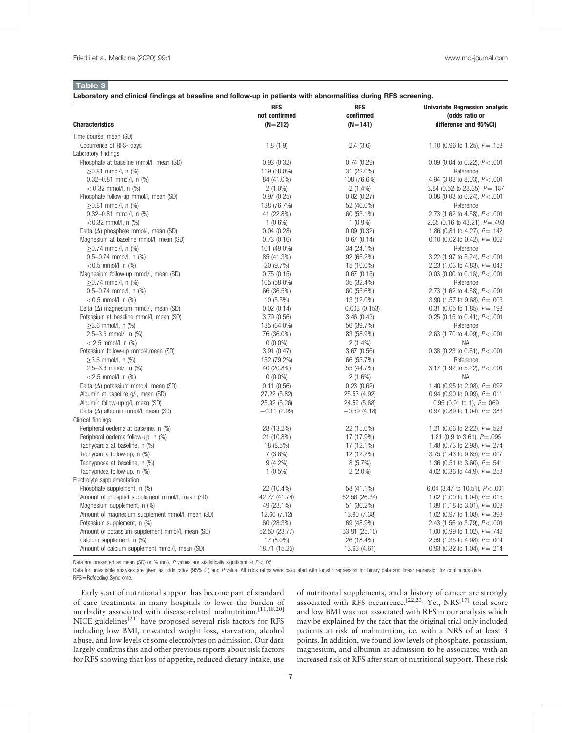# Table 3

## Laboratory and clinical findings at baseline and follow-up in patients with abnormalities during RFS screening.

|                                                                             | <b>RFS</b>                 | <b>RFS</b>                 | <b>Univariate Regression analysis</b>                              |
|-----------------------------------------------------------------------------|----------------------------|----------------------------|--------------------------------------------------------------------|
|                                                                             | not confirmed              | confirmed                  | (odds ratio or                                                     |
| <b>Characteristics</b>                                                      | $(N = 212)$                | $(N = 141)$                | difference and 95%CI)                                              |
| Time course, mean (SD)                                                      |                            |                            |                                                                    |
| Occurrence of RFS- days                                                     | 1.8(1.9)                   | 2.4(3.6)                   | 1.10 (0.96 to 1.25), $P = .158$                                    |
| Laboratory findings                                                         |                            |                            |                                                                    |
| Phosphate at baseline mmol/l, mean (SD)                                     | 0.93(0.32)                 | 0.74(0.29)                 | 0.09 (0.04 to 0.22), $P < .001$                                    |
| $\geq$ 0.81 mmol/l, n (%)                                                   | 119 (58.0%)                | 31 (22.0%)                 | Reference                                                          |
| $0.32 - 0.81$ mmol/l, n (%)                                                 | 84 (41.0%)                 | 108 (76.6%)                | 4.94 (3.03 to 8.03), $P < .001$                                    |
| $< 0.32$ mmol/l, n (%)                                                      | $2(1.0\%)$                 | $2(1.4\%)$                 | 3.84 (0.52 to 28.35), $P = .187$                                   |
| Phosphate follow-up mmol/l, mean (SD)                                       | 0.97(0.25)                 | 0.82(0.27)                 | 0.08 (0.03 to 0.24), $P < .001$                                    |
| $\geq$ 0.81 mmol/l, n (%)                                                   | 138 (76.7%)                | 52 (46.0%)                 | Reference                                                          |
| $0.32 - 0.81$ mmol/l, n (%)                                                 | 41 (22.8%)                 | 60 (53.1%)                 | 2.73 (1.62 to 4.58), $P < .001$                                    |
| $<$ 0.32 mmol/l, n (%)                                                      | $1(0.6\%)$                 | $1(0.9\%)$                 | 2.65 (0.16 to 43.21), $P = .493$                                   |
| Delta $(\Delta)$ phosphate mmol/l, mean (SD)                                | 0.04(0.28)                 | 0.09(0.32)                 | 1.86 (0.81 to 4.27), $P = .142$                                    |
| Magnesium at baseline mmol/l, mean (SD)                                     | 0.73(0.16)                 | 0.67(0.14)                 | 0.10 (0.02 to 0.42), $P = .002$                                    |
| $\geq$ 0.74 mmol/l, n (%)                                                   | 101 (49.0%)                | 34 (24.1%)                 | Reference                                                          |
| $0.5 - 0.74$ mmol/l, n (%)                                                  | 85 (41.3%)                 | 92 (65.2%)                 | 3.22 (1.97 to 5.24), $P < .001$                                    |
| $<$ 0.5 mmol/l, n (%)                                                       | 20 (9.7%)                  | 15 (10.6%)                 | 2.23 (1.03 to 4.83), $P = .043$                                    |
| Magnesium follow-up mmol/l, mean (SD)                                       | 0.75(0.15)                 | 0.67(0.15)                 | 0.03 (0.00 to 0.16), $P < .001$                                    |
| $\geq$ 0.74 mmol/l, n (%)                                                   | 105 (58.0%)                | 35 (32.4%)                 | Reference                                                          |
| $0.5 - 0.74$ mmol/l, n (%)                                                  | 66 (36.5%)                 | 60 (55.6%)                 | 2.73 (1.62 to 4.58), $P < .001$                                    |
| $<$ 0.5 mmol/l, n (%)                                                       | 10 (5.5%)                  | 13 (12.0%)                 | 3.90 (1.57 to 9.68), $P = .003$                                    |
| Delta $(\Delta)$ magnesium mmol/l, mean (SD)                                | 0.02(0.14)                 | $-0.003$ (0.153)           | 0.31 (0.05 to 1.85), $P = .198$                                    |
| Potassium at baseline mmol/l, mean (SD)                                     | 3.79 (0.56)                | 3.46(0.43)                 | 0.25 (0.15 to 0.41), $P < .001$                                    |
| $\geq$ 3.6 mmol/l, n (%)                                                    | 135 (64.0%)                | 56 (39.7%)                 | Reference                                                          |
| 2.5-3.6 mmol/l, $n$ (%)                                                     | 76 (36.0%)                 | 83 (58.9%)                 | 2.63 (1.70 to 4.09), $P < .001$                                    |
| $<$ 2.5 mmol/l, n (%)                                                       | $0(0.0\%)$                 | $2(1.4\%)$                 | ΝA                                                                 |
| Potassium follow-up mmol/l, mean (SD)                                       | 3.91(0.47)                 | 3.67(0.56)                 | 0.38 (0.23 to 0.61), $P < .001$                                    |
| $\geq$ 3.6 mmol/l, n (%)                                                    | 152 (79.2%)                | 66 (53.7%)                 | Reference                                                          |
| 2.5-3.6 mmol/l, n (%)                                                       | 40 (20.8%)                 | 55 (44.7%)                 | 3.17 (1.92 to 5.22), $P < .001$                                    |
| $<$ 2.5 mmol/l, n (%)                                                       | $0(0.0\%)$                 | $2(1.6\%)$                 | <b>NA</b>                                                          |
| Delta $(\Delta)$ potassium mmol/l, mean (SD)                                | 0.11(0.56)                 | 0.23(0.62)                 | 1.40 (0.95 to 2.08), $P = .092$                                    |
| Albumin at baseline g/l, mean (SD)                                          | 27.22 (5.82)               | 25.53 (4.92)               | 0.94 (0.90 to 0.99), $P = .011$                                    |
| Albumin follow-up g/l, mean (SD)                                            | 25.92 (5.26)               | 24.52 (5.68)               | 0.95 (0.91 to 1), $P = .069$                                       |
| Delta $(\Delta)$ albumin mmol/l, mean (SD)                                  | $-0.11(2.99)$              | $-0.59(4.18)$              | 0.97 (0.89 to 1.04), $P = .383$                                    |
| Clinical findings                                                           |                            |                            |                                                                    |
| Peripheral oedema at baseline, n (%)                                        | 28 (13.2%)                 | 22 (15.6%)                 | 1.21 (0.66 to 2.22), $P = .528$                                    |
| Peripheral oedema follow-up, n (%)                                          | 21 (10.8%)                 | 17 (17.9%)                 | 1.81 (0.9 to 3.61), $P = .095$                                     |
| Tachycardia at baseline, n (%)                                              | 18 (8.5%)                  | 17 (12.1%)                 | 1.48 (0.73 to 2.98), $P = .274$                                    |
| Tachycardia follow-up, n (%)                                                | $7(3.6\%)$                 | 12 (12.2%)                 | 3.75 (1.43 to 9.85), $P = .007$                                    |
| Tachypnoea at baseline, n (%)                                               | $9(4.2\%)$                 | $8(5.7\%)$                 | 1.36 (0.51 to 3.60), $P = .541$                                    |
| Tachypnoea follow-up, n (%)                                                 | $1(0.5\%)$                 | $2(2.0\%)$                 | 4.02 (0.36 to 44.9), $P = .258$                                    |
| Electrolyte supplementation                                                 |                            |                            |                                                                    |
| Phosphate supplement, n (%)                                                 | 22 (10.4%)                 | 58 (41.1%)                 | 6.04 (3.47 to 10.51), $P < .001$                                   |
| Amount of phosphat supplement mmol/l, mean (SD)                             | 42.77 (41.74)              | 62.56 (26.34)              | 1.02 (1.00 to 1.04), $P = .015$                                    |
| Magnesium supplement, n (%)                                                 | 49 (23.1%)                 | 51 (36.2%)                 | 1.89 (1.18 to 3.01), $P = .008$                                    |
| Amount of magnesium supplement mmol/l, mean (SD)                            | 12.66 (7.12)               | 13.90 (7.38)               | 1.02 (0.97 to 1.08), $P = .393$                                    |
| Potassium supplement, n (%)                                                 | 60 (28.3%)                 | 69 (48.9%)                 | 2.43 (1.56 to 3.79), $P < .001$                                    |
| Amount of potassium supplement mmol/l, mean (SD)                            | 52.50 (23.77)              | 53.91 (25.10)              | 1.00 (0.99 to 1.02), $P = .742$                                    |
|                                                                             |                            |                            |                                                                    |
|                                                                             |                            |                            |                                                                    |
| Calcium supplement, n (%)<br>Amount of calcium supplement mmol/l, mean (SD) | 17 (8.0%)<br>18.71 (15.25) | 26 (18.4%)<br>13.63 (4.61) | 2.59 (1.35 to 4.98), $P = .004$<br>0.93 (0.82 to 1.04), $P = .214$ |

Data are presented as mean (SD) or % (no.). P values are statistically significant at  $P < .05$ .

Data for univariable analyses are given as odds ratios (95% CI) and P value. All odds ratios were calculated with logistic regression for binary data and linear regression for continuous data. RFS=Refeeding Syndrome.

Early start of nutritional support has become part of standard of care treatments in many hospitals to lower the burden of morbidity associated with disease-related malnutrition.<sup>[11,18,20]</sup> NICE guidelines $^{[21]}$  have proposed several risk factors for RFS including low BMI, unwanted weight loss, starvation, alcohol abuse, and low levels of some electrolytes on admission. Our data largely confirms this and other previous reports about risk factors for RFS showing that loss of appetite, reduced dietary intake, use

of nutritional supplements, and a history of cancer are strongly associated with RFS occurrence.<sup>[22,23]</sup> Yet, NRS<sup>[17]</sup> total score and low BMI was not associated with RFS in our analysis which may be explained by the fact that the original trial only included patients at risk of malnutrition, i.e. with a NRS of at least 3 points. In addition, we found low levels of phosphate, potassium, magnesium, and albumin at admission to be associated with an increased risk of RFS after start of nutritional support. These risk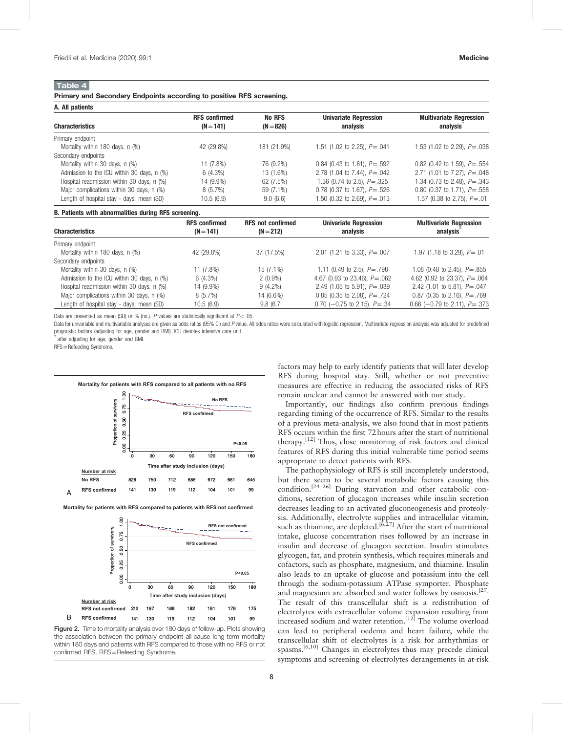# Table 4

A. All patients

Primary and Secondary Endpoints according to positive RFS screening.

| A. All paucillo                            |                                     |                       |                                          |                                            |  |  |
|--------------------------------------------|-------------------------------------|-----------------------|------------------------------------------|--------------------------------------------|--|--|
| <b>Characteristics</b>                     | <b>RFS confirmed</b><br>$(N = 141)$ | No RFS<br>$(N = 826)$ | <b>Univariate Regression</b><br>analysis | <b>Multivariate Regression</b><br>analysis |  |  |
| Primary endpoint                           |                                     |                       |                                          |                                            |  |  |
| Mortality within 180 days, n (%)           | 42 (29.8%)                          | 181 (21.9%)           | 1.51 (1.02 to 2.25), $P = .041$          | 1.53 (1.02 to 2.29), $P = .038$            |  |  |
| Secondary endpoints                        |                                     |                       |                                          |                                            |  |  |
| Mortality within 30 days, n (%)            | 11 (7.8%)                           | 76 (9.2%)             | 0.84 (0.43 to 1.61), $P = .592$          | 0.82 (0.42 to 1.59), $P = .554$            |  |  |
| Admission to the ICU within 30 days, n (%) | 6 (4.3%)                            | 13 (1.6%)             | 2.78 (1.04 to 7.44), $P = .042$          | 2.71 (1.01 to 7.27), $P = .048$            |  |  |
| Hospital readmission within 30 days, n (%) | 14 (9.9%)                           | 62 (7.5%)             | 1.36 (0.74 to 2.5), $P = .325$           | 1.34 (0.73 to 2.48), $P = .343$            |  |  |
| Major complications within 30 days, n (%)  | 8 (5.7%)                            | 59 (7.1%)             | 0.78 (0.37 to 1.67), $P = .526$          | 0.80 (0.37 to 1.71), $P = .558$            |  |  |
| Length of hospital stay - days, mean (SD)  | 10.5(6.9)                           | 9.0(6.6)              | 1.50 (0.32 to 2.69), $P = .013$          | 1.57 (0.38 to 2.75), $P = .01$             |  |  |

#### B. Patients with abnormalities during RFS screening.

| <b>Characteristics</b>                     | <b>RFS</b> confirmed<br>$(N = 141)$ | <b>RFS not confirmed</b><br>$(N = 212)$ | <b>Univariate Regression</b><br>analysis | <b>Multivariate Regression</b><br>analysis |
|--------------------------------------------|-------------------------------------|-----------------------------------------|------------------------------------------|--------------------------------------------|
| Primary endpoint                           |                                     |                                         |                                          |                                            |
| Mortality within 180 days, n (%)           | 42 (29.8%)                          | 37 (17.5%)                              | 2.01 (1.21 to 3.33), $P = .007$          | 1.97 (1.18 to 3.29), $P = .01$             |
| Secondary endpoints                        |                                     |                                         |                                          |                                            |
| Mortality within 30 days, n (%)            | 11 (7.8%)                           | 15 (7.1%)                               | 1.11 (0.49 to 2.5), $P = .798$           | 1.08 (0.48 to 2.45), $P = .855$            |
| Admission to the ICU within 30 days, n (%) | 6(4.3%)                             | $2(0.9\%)$                              | 4.67 (0.93 to 23.46), $P = .062$         | 4.62 (0.92 to 23.37), $P = .064$           |
| Hospital readmission within 30 days, n (%) | 14 (9.9%)                           | $9(4.2\%)$                              | 2.49 (1.05 to 5.91), $P = .039$          | 2.42 (1.01 to 5.81), $P = .047$            |
| Major complications within 30 days, n (%)  | 8(5.7%)                             | 14 (6.6%)                               | 0.85 (0.35 to 2.08), $P = .724$          | 0.87 (0.35 to 2.16), $P = .769$            |
| Length of hospital stay - days, mean (SD)  | 10.5(6.9)                           | 9.8(6.7)                                | 0.70 (-0.75 to 2.15), $P = .34$          | 0.66 (-0.79 to 2.11), $P = .373$           |

Data are presented as mean (SD) or % (no.). P values are statistically significant at  $P < 0.05$ .

Data for univariable and multivariable analyses are given as odds ratios (95% CI) and P value. All odds ratios were calculated with logistic regression. Multivariate regression analysis was adjusted for predefined prognostic factors (adjusting for age, gender and BMI). ICU denotes intensive care unit.

after adjusting for age, gender and BMI.

RFS=Refeeding Syndrome.



**Mortality for patients with RFS compared to patients with RFS not confirmed**



Figure 2. Time to mortality analysis over 180 days of follow-up. Plots showing the association between the primary endpoint all-cause long-term mortality within 180 days and patients with RFS compared to those with no RFS or not confirmed RFS. RFS=Refeeding Syndrome.

factors may help to early identify patients that will later develop RFS during hospital stay. Still, whether or not preventive measures are effective in reducing the associated risks of RFS remain unclear and cannot be answered with our study.

Importantly, our findings also confirm previous findings regarding timing of the occurrence of RFS. Similar to the results of a previous meta-analysis, we also found that in most patients RFS occurs within the first 72 hours after the start of nutritional therapy.[12] Thus, close monitoring of risk factors and clinical features of RFS during this initial vulnerable time period seems appropriate to detect patients with RFS.

The pathophysiology of RFS is still incompletely understood, but there seem to be several metabolic factors causing this condition.[24–26] During starvation and other catabolic conditions, secretion of glucagon increases while insulin secretion decreases leading to an activated gluconeogenesis and proteolysis. Additionally, electrolyte supplies and intracellular vitamin, such as thiamine, are depleted.<sup>[6,27]</sup> After the start of nutritional intake, glucose concentration rises followed by an increase in insulin and decrease of glucagon secretion. Insulin stimulates glycogen, fat, and protein synthesis, which requires minerals and cofactors, such as phosphate, magnesium, and thiamine. Insulin also leads to an uptake of glucose and potassium into the cell through the sodium-potassium ATPase symporter. Phosphate and magnesium are absorbed and water follows by osmosis.<sup>[27]</sup> The result of this transcellular shift is a redistribution of electrolytes with extracellular volume expansion resulting from increased sodium and water retention.<sup>[12]</sup> The volume overload can lead to peripheral oedema and heart failure, while the transcellular shift of electrolytes is a risk for arrhythmias or spasms.<sup>[6,10]</sup> Changes in electrolytes thus may precede clinical symptoms and screening of electrolytes derangements in at-risk